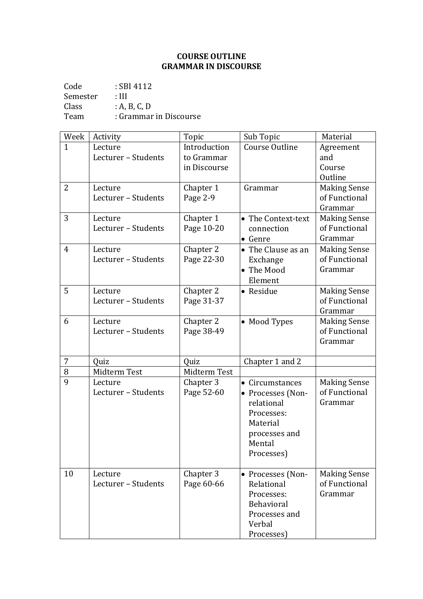## **COURSE OUTLINE GRAMMAR IN DISCOURSE**

Code : SBI 4112 Semester : III<br>Class : A, I Class : A, B, C, D<br>Team : Grammar : Grammar in Discourse

| Week           | Activity                       | Topic                                      | Sub Topic                                                                                                             | Material                                        |
|----------------|--------------------------------|--------------------------------------------|-----------------------------------------------------------------------------------------------------------------------|-------------------------------------------------|
| $\mathbf{1}$   | Lecture<br>Lecturer - Students | Introduction<br>to Grammar<br>in Discourse | Course Outline                                                                                                        | Agreement<br>and<br>Course<br>Outline           |
| $\overline{2}$ | Lecture<br>Lecturer - Students | Chapter 1<br>Page 2-9                      | Grammar                                                                                                               | <b>Making Sense</b><br>of Functional<br>Grammar |
| 3              | Lecture<br>Lecturer - Students | Chapter 1<br>Page 10-20                    | • The Context-text<br>connection<br>• Genre                                                                           | <b>Making Sense</b><br>of Functional<br>Grammar |
| $\overline{4}$ | Lecture<br>Lecturer - Students | Chapter 2<br>Page 22-30                    | • The Clause as an<br>Exchange<br>• The Mood<br>Element                                                               | <b>Making Sense</b><br>of Functional<br>Grammar |
| 5              | Lecture<br>Lecturer - Students | Chapter 2<br>Page 31-37                    | • Residue                                                                                                             | <b>Making Sense</b><br>of Functional<br>Grammar |
| 6              | Lecture<br>Lecturer - Students | Chapter 2<br>Page 38-49                    | • Mood Types                                                                                                          | <b>Making Sense</b><br>of Functional<br>Grammar |
| 7              | Quiz                           | Quiz                                       | Chapter 1 and 2                                                                                                       |                                                 |
| 8              | Midterm Test                   | Midterm Test                               |                                                                                                                       |                                                 |
| 9              | Lecture<br>Lecturer - Students | Chapter 3<br>Page 52-60                    | • Circumstances<br>• Processes (Non-<br>relational<br>Processes:<br>Material<br>processes and<br>Mental<br>Processes) | <b>Making Sense</b><br>of Functional<br>Grammar |
| 10             | Lecture<br>Lecturer - Students | Chapter 3<br>Page 60-66                    | • Processes (Non-<br>Relational<br>Processes:<br><b>Behavioral</b><br>Processes and<br>Verbal<br>Processes)           | <b>Making Sense</b><br>of Functional<br>Grammar |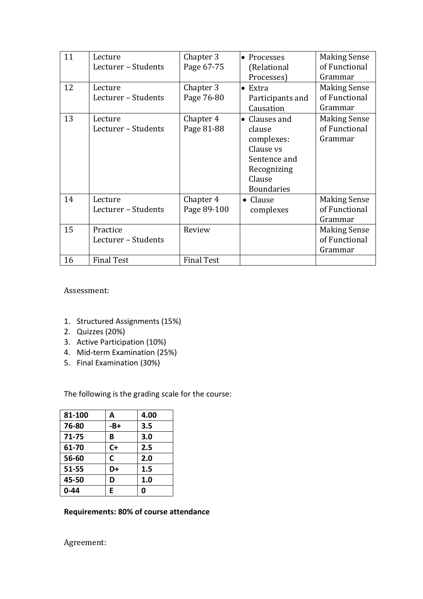| 11 | Lecture<br>Lecturer - Students  | Chapter 3<br>Page 67-75  | Processes<br>$\bullet$<br>(Relational                                                                                       | <b>Making Sense</b><br>of Functional                       |
|----|---------------------------------|--------------------------|-----------------------------------------------------------------------------------------------------------------------------|------------------------------------------------------------|
| 12 | Lecture<br>Lecturer - Students  | Chapter 3<br>Page 76-80  | Processes)<br>Extra<br>$\bullet$<br>Participants and<br>Causation                                                           | Grammar<br><b>Making Sense</b><br>of Functional<br>Grammar |
| 13 | Lecture<br>Lecturer - Students  | Chapter 4<br>Page 81-88  | Clauses and<br>$\bullet$<br>clause<br>complexes:<br>Clause vs<br>Sentence and<br>Recognizing<br>Clause<br><b>Boundaries</b> | <b>Making Sense</b><br>of Functional<br>Grammar            |
| 14 | Lecture<br>Lecturer - Students  | Chapter 4<br>Page 89-100 | • Clause<br>complexes                                                                                                       | <b>Making Sense</b><br>of Functional<br>Grammar            |
| 15 | Practice<br>Lecturer - Students | Review                   |                                                                                                                             | <b>Making Sense</b><br>of Functional<br>Grammar            |
| 16 | <b>Final Test</b>               | <b>Final Test</b>        |                                                                                                                             |                                                            |

Assessment:

- 1. Structured Assignments (15%)
- 2. Quizzes (20%)
- 3. Active Participation (10%)
- 4. Mid-term Examination (25%)
- 5. Final Examination (30%)

The following is the grading scale for the course:

| 81-100 | А    | 4.00 |
|--------|------|------|
| 76-80  | -B+  | 3.5  |
| 71-75  | В    | 3.0  |
| 61-70  | $C+$ | 2.5  |
| 56-60  | C    | 2.0  |
| 51-55  | D+   | 1.5  |
| 45-50  | D    | 1.0  |
| 0-44   | E    | 0    |

## **Requirements: 80% of course attendance**

Agreement: